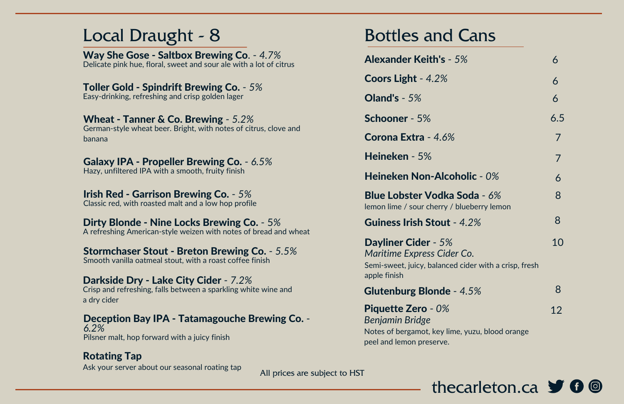## Local Draught - 8

Way She Gose - Saltbox Brewing Co. - *4.7%* Delicate pink hue, floral, sweet and sour ale with a lot of citrus

Toller Gold - Spindrift Brewing Co. - *5%* Easy-drinking, refreshing and crisp golden lager

#### Wheat - Tanner & Co. Brewing - *5.2%* German-style wheat beer. Bright, with notes of citrus, clove and

banana

#### Galaxy IPA - Propeller Brewing Co. - *6.5%*

Hazy, unfiltered IPA with a smooth, fruity finish

#### Irish Red - Garrison Brewing Co. - *5%* Classic red, with roasted malt and a low hop profile

Dirty Blonde - Nine Locks Brewing Co. - 5*%* A refreshing American-style weizen with notes of bread and wheat

#### Stormchaser Stout - Breton Brewing Co. - *5.5%*

Smooth vanilla oatmeal stout, with a roast coffee finish

#### Darkside Dry - Lake City Cider - *7.2%* Crisp and refreshing, falls between a sparkling white wine and

a dry cider

#### Deception Bay IPA - Tatamagouche Brewing Co. - *6.2%* Pilsner malt, hop forward with a juicy finish

Rotating Tap Ask your server about our seasonal roating tap

## Bottles and Cans

| <b>Alexander Keith's - 5%</b>                                                                                                      | 6   |
|------------------------------------------------------------------------------------------------------------------------------------|-----|
| <b>Coors Light - 4.2%</b>                                                                                                          | 6   |
| Oland's - $5%$                                                                                                                     | 6   |
| <b>Schooner</b> - 5%                                                                                                               | 6.5 |
| Corona Extra - 4.6%                                                                                                                | 7   |
| Heineken - 5%                                                                                                                      | 7   |
| <b>Heineken Non-Alcoholic - 0%</b>                                                                                                 | 6   |
| <b>Blue Lobster Vodka Soda - 6%</b><br>lemon lime / sour cherry / blueberry lemon                                                  | 8   |
| <b>Guiness Irish Stout - 4.2%</b>                                                                                                  | 8   |
| <b>Dayliner Cider - 5%</b><br>Maritime Express Cider Co.<br>Semi-sweet, juicy, balanced cider with a crisp, fresh<br>apple finish  | 10  |
| Glutenburg Blonde - 4.5%                                                                                                           | 8   |
| <b>Piquette Zero</b> - 0%<br><b>Benjamin Bridge</b><br>Notes of bergamot, key lime, yuzu, blood orange<br>peel and lemon preserve. | 12  |

# thecarleton.ca **y 0**  $\bullet$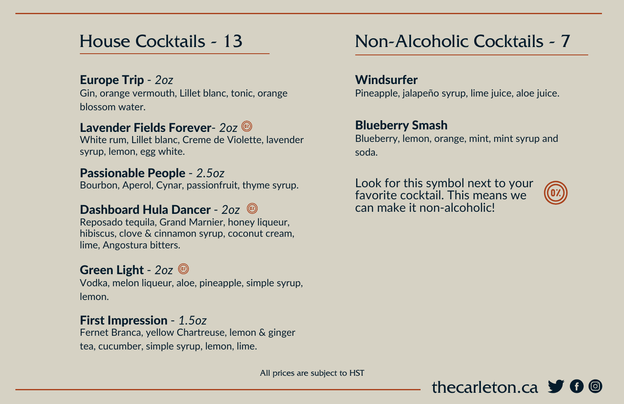## House Cocktails - 13

### Europe Trip - *2oz*

Gin, orange vermouth, Lillet blanc, tonic, orange blossom water.

### Lavender Fields Forever- *2oz*

White rum, Lillet blanc, Creme de Violette, lavender syrup, lemon, egg white.

### Passionable People - *2.5oz*

Bourbon, Aperol, Cynar, passionfruit, thyme syrup.

### Dashboard Hula Dancer - *2oz*

Reposado tequila, Grand Marnier, honey liqueur, hibiscus, clove & cinnamon syrup, coconut cream, lime, Angostura bitters.

### Green Light - *2oz*

Vodka, melon liqueur, aloe, pineapple, simple syrup, lemon.

#### First Impression - *1.5oz* Fernet Branca, yellow Chartreuse, lemon & ginger

tea, cucumber, simple syrup, lemon, lime.

# Non-Alcoholic Cocktails - 7

### **Windsurfer**

Pineapple, jalapeño syrup, lime juice, aloe juice.

### Blueberry Smash

Blueberry, lemon, orange, mint, mint syrup and soda.

Look for this symbol next to your favorite cocktail. This means we can make it non-alcoholic!



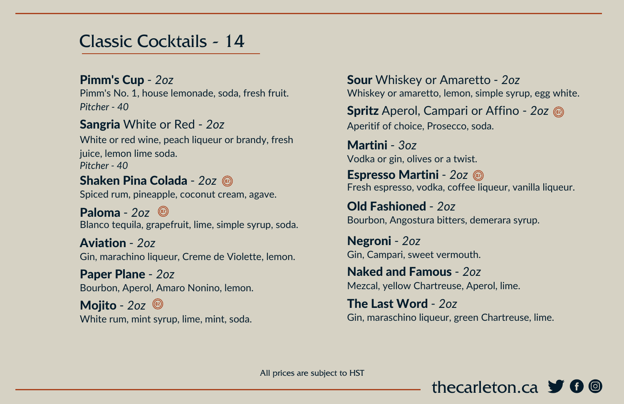## Classic Cocktails - 14

Pimm's Cup - *2oz* Pimm's No. 1, house lemonade, soda, fresh fruit. *Pitcher - 40*

### Sangria White or Red - *2oz*

White or red wine, peach liqueur or brandy, fresh juice, lemon lime soda. *Pitcher - 40*

### Shaken Pina Colada - *2oz*

Spiced rum, pineapple, coconut cream, agave.

Paloma - *2oz* Blanco tequila, grapefruit, lime, simple syrup, soda.

Aviation - *2oz* Gin, marachino liqueur, Creme de Violette, lemon.

Paper Plane - *2oz* Bourbon, Aperol, Amaro Nonino, lemon.

Moiito - 20z <sup>@</sup> White rum, mint syrup, lime, mint, soda. Sour Whiskey or Amaretto - *2oz* Whiskey or amaretto, lemon, simple syrup, egg white.

Spritz Aperol, Campari or Affino - *2oz* Aperitif of choice, Prosecco, soda.

Martini - *3oz* Vodka or gin, olives or a twist.

Espresso Martini - *2oz* Fresh espresso, vodka, coffee liqueur, vanilla liqueur.

Old Fashioned - *2oz* Bourbon, Angostura bitters, demerara syrup.

Negroni - *2oz* Gin, Campari, sweet vermouth.

Naked and Famous - *2oz* Mezcal, yellow Chartreuse, Aperol, lime.

The Last Word - *2oz* Gin, maraschino liqueur, green Chartreuse, lime.

thecarleton.ca **y 0**  $\bullet$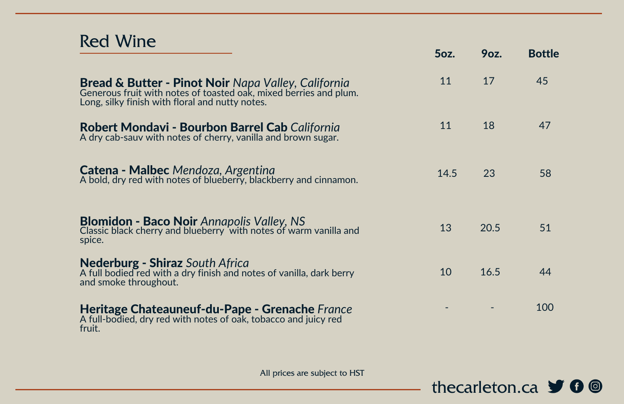# Red Wine

|                                                                                                                                                                                        | 5oz.            | 9oz. | <b>Bottle</b> |
|----------------------------------------------------------------------------------------------------------------------------------------------------------------------------------------|-----------------|------|---------------|
| <b>Bread &amp; Butter - Pinot Noir</b> Napa Valley, California<br>Generous fruit with notes of toasted oak, mixed berries and plum.<br>Long, silky finish with floral and nutty notes. | 11              | 17   | 45            |
| Robert Mondavi - Bourbon Barrel Cab California<br>A dry cab-sauv with notes of cherry, vanilla and brown sugar.                                                                        | 11              | 18   | 47            |
| <b>Catena - Malbec</b> Mendoza, Argentina<br>A bold, dry red with notes of blueberry, blackberry and cinnamon.                                                                         | 14.5            | 23   | 58            |
| <b>Blomidon - Baco Noir</b> Annapolis Valley, NS<br>Classic black cherry and blueberry with notes of warm vanilla and<br>spice.                                                        | 13              | 20.5 | 51            |
| <b>Nederburg - Shiraz South Africa</b><br>A full bodied red with a dry finish and notes of vanilla, dark berry<br>and smoke throughout.                                                | 10 <sup>1</sup> | 16.5 | 44            |
| Heritage Chateauneuf-du-Pape - Grenache France<br>A full-bodied, dry red with notes of oak, tobacco and juicy red<br>fruit.                                                            |                 |      | 100           |

All prices are subject to HST

thecarleton.ca **y 0 @**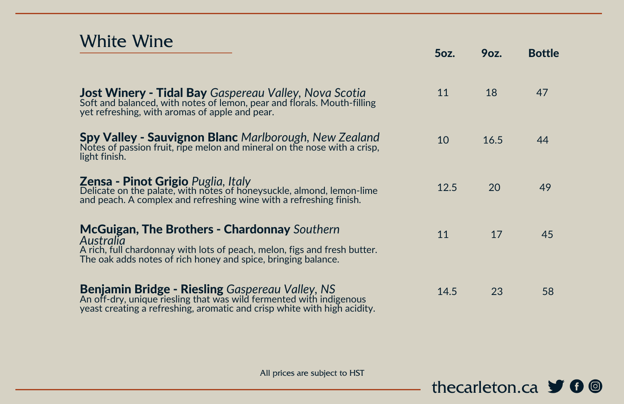## White Wine

|                                                                                                                                                                                                                | <b>5oz.</b> | 9oz. | <b>Bottle</b> |
|----------------------------------------------------------------------------------------------------------------------------------------------------------------------------------------------------------------|-------------|------|---------------|
| <b>Jost Winery - Tidal Bay</b> Gaspereau Valley, Nova Scotia<br>Soft and balanced, with notes of lemon, pear and florals. Mouth-filling<br>yet refreshing, with aromas of apple and pear.                      | 11          | 18   | 47            |
| Spy Valley - Sauvignon Blanc Marlborough, New Zealand<br>Notes of passion fruit, ripe melon and mineral on the nose with a crisp,<br>light finish.                                                             | 10          | 16.5 | 44            |
| Zensa - Pinot Grigio Puglia, Italy<br>Delicate on the palate, with notes of honeysuckle, almond, lemon-lime<br>and peach. A complex and refreshing wine with a refreshing finish.                              | 12.5        | 20   | 49            |
| <b>McGuigan, The Brothers - Chardonnay</b> Southern<br>Australia<br>A rich, full chardonnay with lots of peach, melon, figs and fresh butter.<br>The oak adds notes of rich honey and spice, bringing balance. | 11          | 17   | 45            |
| <b>Benjamin Bridge - Riesling Gaspereau Valley, NS</b><br>An off-dry, unique riesling that was wild fermented with indigenous<br>yeast creating a refreshing, aromatic and crisp white with high acidity.      | 14.5        | 23   | 58            |

All prices are subject to HST

# thecarleton.ca **y 0 @**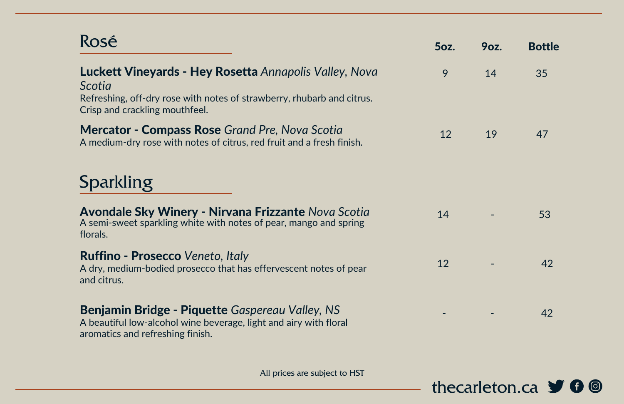| Rosé                                                                                                                                                                                | 5 <sub>oz.</sub> | 9oz. | <b>Bottle</b> |
|-------------------------------------------------------------------------------------------------------------------------------------------------------------------------------------|------------------|------|---------------|
| <b>Luckett Vineyards - Hey Rosetta Annapolis Valley, Nova</b><br>Scotia<br>Refreshing, off-dry rose with notes of strawberry, rhubarb and citrus.<br>Crisp and crackling mouthfeel. | 9                | 14   | 35            |
| <b>Mercator - Compass Rose</b> Grand Pre, Nova Scotia<br>A medium-dry rose with notes of citrus, red fruit and a fresh finish.                                                      | 12               | 19   | 47            |
| <b>Sparkling</b>                                                                                                                                                                    |                  |      |               |
| <b>Avondale Sky Winery - Nirvana Frizzante Nova Scotia</b><br>A semi-sweet sparkling white with notes of pear, mango and spring<br>florals.                                         | 14               |      | 53            |
| <b>Ruffino - Prosecco</b> Veneto, Italy<br>A dry, medium-bodied prosecco that has effervescent notes of pear<br>and citrus.                                                         | 12               |      | 42            |
| <b>Benjamin Bridge - Piquette</b> Gaspereau Valley, NS<br>A beautiful low-alcohol wine beverage, light and airy with floral<br>aromatics and refreshing finish.                     |                  |      | 42            |

All prices are subject to HST

thecarleton.ca **y 0 @**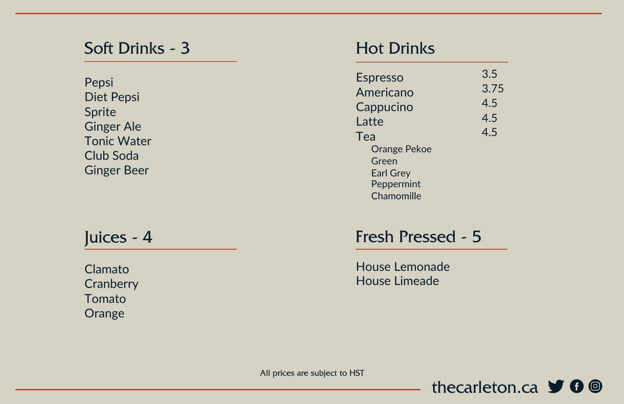## Soft Drinks - 3

Pepsi Sprite Diet Pepsi Ginger Ale Tonic Water Club Soda Ginger Beer

Juices - 4

Clamato Tomato **Cranberry Orange** 

## Hot Drinks

| <b>Espresso</b>     | 3.5  |
|---------------------|------|
| Americano           | 3.75 |
| Cappucino           | 4.5  |
| Latte               | 4.5  |
| Tea                 | 4.5  |
| <b>Orange Pekoe</b> |      |
| Green               |      |
| <b>Earl Grey</b>    |      |
| Peppermint          |      |
| Chamomille          |      |

## Fresh Pressed - 5

House Lemonade House Limeade